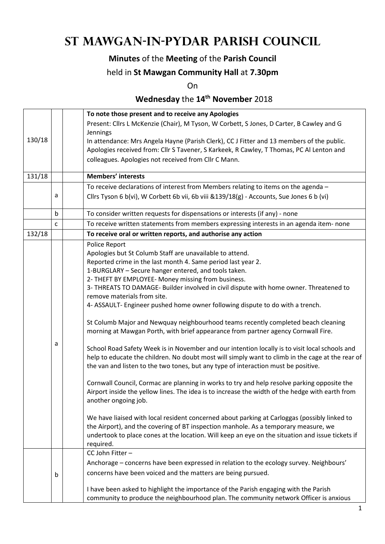# **St Mawgan-in-Pydar Parish Council**

## **Minutes** of the **Meeting** of the **Parish Council**

### held in **St Mawgan Community Hall** at **7.30pm**

On

## **Wednesday** the **14th November** 2018

|                                                                                      | To note those present and to receive any Apologies   |                                                                                                                                                                        |  |  |
|--------------------------------------------------------------------------------------|------------------------------------------------------|------------------------------------------------------------------------------------------------------------------------------------------------------------------------|--|--|
|                                                                                      |                                                      | Present: Cllrs L McKenzie (Chair), M Tyson, W Corbett, S Jones, D Carter, B Cawley and G                                                                               |  |  |
|                                                                                      | Jennings                                             |                                                                                                                                                                        |  |  |
| 130/18                                                                               |                                                      | In attendance: Mrs Angela Hayne (Parish Clerk), CC J Fitter and 13 members of the public.                                                                              |  |  |
|                                                                                      |                                                      | Apologies received from: Cllr S Tavener, S Karkeek, R Cawley, T Thomas, PC Al Lenton and                                                                               |  |  |
|                                                                                      | colleagues. Apologies not received from Cllr C Mann. |                                                                                                                                                                        |  |  |
| 131/18                                                                               |                                                      | <b>Members' interests</b>                                                                                                                                              |  |  |
|                                                                                      |                                                      | To receive declarations of interest from Members relating to items on the agenda -                                                                                     |  |  |
|                                                                                      | а                                                    | Cllrs Tyson 6 b(vi), W Corbett 6b vii, 6b viii &139/18(g) - Accounts, Sue Jones 6 b (vi)                                                                               |  |  |
|                                                                                      | $\mathsf b$                                          | To consider written requests for dispensations or interests (if any) - none                                                                                            |  |  |
|                                                                                      | C                                                    | To receive written statements from members expressing interests in an agenda item- none                                                                                |  |  |
| 132/18                                                                               |                                                      | To receive oral or written reports, and authorise any action                                                                                                           |  |  |
|                                                                                      |                                                      | Police Report                                                                                                                                                          |  |  |
|                                                                                      |                                                      | Apologies but St Columb Staff are unavailable to attend.                                                                                                               |  |  |
|                                                                                      |                                                      | Reported crime in the last month 4. Same period last year 2.                                                                                                           |  |  |
|                                                                                      |                                                      | 1-BURGLARY - Secure hanger entered, and tools taken.                                                                                                                   |  |  |
|                                                                                      |                                                      | 2- THEFT BY EMPLOYEE- Money missing from business.                                                                                                                     |  |  |
|                                                                                      |                                                      | 3- THREATS TO DAMAGE- Builder involved in civil dispute with home owner. Threatened to                                                                                 |  |  |
|                                                                                      |                                                      | remove materials from site.                                                                                                                                            |  |  |
|                                                                                      |                                                      | 4- ASSAULT- Engineer pushed home owner following dispute to do with a trench.                                                                                          |  |  |
|                                                                                      |                                                      | St Columb Major and Newquay neighbourhood teams recently completed beach cleaning<br>morning at Mawgan Porth, with brief appearance from partner agency Cornwall Fire. |  |  |
|                                                                                      |                                                      |                                                                                                                                                                        |  |  |
|                                                                                      | а                                                    | School Road Safety Week is in November and our intention locally is to visit local schools and                                                                         |  |  |
|                                                                                      |                                                      | help to educate the children. No doubt most will simply want to climb in the cage at the rear of                                                                       |  |  |
|                                                                                      |                                                      | the van and listen to the two tones, but any type of interaction must be positive.                                                                                     |  |  |
|                                                                                      |                                                      |                                                                                                                                                                        |  |  |
|                                                                                      |                                                      | Cornwall Council, Cormac are planning in works to try and help resolve parking opposite the                                                                            |  |  |
|                                                                                      |                                                      | Airport inside the yellow lines. The idea is to increase the width of the hedge with earth from                                                                        |  |  |
|                                                                                      |                                                      | another ongoing job.                                                                                                                                                   |  |  |
|                                                                                      |                                                      | We have liaised with local resident concerned about parking at Carloggas (possibly linked to                                                                           |  |  |
|                                                                                      |                                                      | the Airport), and the covering of BT inspection manhole. As a temporary measure, we                                                                                    |  |  |
|                                                                                      |                                                      | undertook to place cones at the location. Will keep an eye on the situation and issue tickets if                                                                       |  |  |
|                                                                                      |                                                      | required.                                                                                                                                                              |  |  |
|                                                                                      |                                                      | CC John Fitter-                                                                                                                                                        |  |  |
|                                                                                      |                                                      | Anchorage – concerns have been expressed in relation to the ecology survey. Neighbours'                                                                                |  |  |
|                                                                                      |                                                      | concerns have been voiced and the matters are being pursued.                                                                                                           |  |  |
|                                                                                      | b                                                    |                                                                                                                                                                        |  |  |
| I have been asked to highlight the importance of the Parish engaging with the Parish |                                                      |                                                                                                                                                                        |  |  |
|                                                                                      |                                                      | community to produce the neighbourhood plan. The community network Officer is anxious                                                                                  |  |  |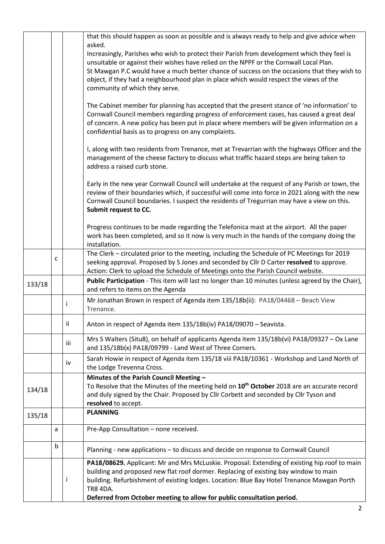|                                                                                                                                                                                                                                                                                                                                                 |                                                                                                                                                                                                                                                                                      |     | that this should happen as soon as possible and is always ready to help and give advice when                                                                                                                                                                                 |  |  |  |  |  |
|-------------------------------------------------------------------------------------------------------------------------------------------------------------------------------------------------------------------------------------------------------------------------------------------------------------------------------------------------|--------------------------------------------------------------------------------------------------------------------------------------------------------------------------------------------------------------------------------------------------------------------------------------|-----|------------------------------------------------------------------------------------------------------------------------------------------------------------------------------------------------------------------------------------------------------------------------------|--|--|--|--|--|
|                                                                                                                                                                                                                                                                                                                                                 |                                                                                                                                                                                                                                                                                      |     | asked.                                                                                                                                                                                                                                                                       |  |  |  |  |  |
|                                                                                                                                                                                                                                                                                                                                                 | Increasingly, Parishes who wish to protect their Parish from development which they feel is<br>unsuitable or against their wishes have relied on the NPPF or the Cornwall Local Plan.<br>St Mawgan P.C would have a much better chance of success on the occasions that they wish to |     |                                                                                                                                                                                                                                                                              |  |  |  |  |  |
|                                                                                                                                                                                                                                                                                                                                                 |                                                                                                                                                                                                                                                                                      |     | object, if they had a neighbourhood plan in place which would respect the views of the<br>community of which they serve.                                                                                                                                                     |  |  |  |  |  |
| The Cabinet member for planning has accepted that the present stance of 'no information' to<br>Cornwall Council members regarding progress of enforcement cases, has caused a great deal<br>of concern. A new policy has been put in place where members will be given information on a<br>confidential basis as to progress on any complaints. |                                                                                                                                                                                                                                                                                      |     |                                                                                                                                                                                                                                                                              |  |  |  |  |  |
| I, along with two residents from Trenance, met at Trevarrian with the highways Officer and the<br>management of the cheese factory to discuss what traffic hazard steps are being taken to<br>address a raised curb stone.                                                                                                                      |                                                                                                                                                                                                                                                                                      |     |                                                                                                                                                                                                                                                                              |  |  |  |  |  |
| Early in the new year Cornwall Council will undertake at the request of any Parish or town, the<br>review of their boundaries which, if successful will come into force in 2021 along with the new<br>Cornwall Council boundaries. I suspect the residents of Tregurrian may have a view on this.<br>Submit request to CC.                      |                                                                                                                                                                                                                                                                                      |     |                                                                                                                                                                                                                                                                              |  |  |  |  |  |
|                                                                                                                                                                                                                                                                                                                                                 |                                                                                                                                                                                                                                                                                      |     | Progress continues to be made regarding the Telefonica mast at the airport. All the paper<br>work has been completed, and so it now is very much in the hands of the company doing the<br>installation.                                                                      |  |  |  |  |  |
|                                                                                                                                                                                                                                                                                                                                                 | c                                                                                                                                                                                                                                                                                    |     | The Clerk - circulated prior to the meeting, including the Schedule of PC Meetings for 2019<br>seeking approval. Proposed by S Jones and seconded by Cllr D Carter resolved to approve.<br>Action: Clerk to upload the Schedule of Meetings onto the Parish Council website. |  |  |  |  |  |
| 133/18                                                                                                                                                                                                                                                                                                                                          |                                                                                                                                                                                                                                                                                      |     | Public Participation - This item will last no longer than 10 minutes (unless agreed by the Chair),<br>and refers to items on the Agenda                                                                                                                                      |  |  |  |  |  |
|                                                                                                                                                                                                                                                                                                                                                 |                                                                                                                                                                                                                                                                                      |     | Mr Jonathan Brown in respect of Agenda item 135/18b(ii): PA18/04468 - Beach View<br>Trenance.                                                                                                                                                                                |  |  |  |  |  |
|                                                                                                                                                                                                                                                                                                                                                 |                                                                                                                                                                                                                                                                                      | ii  | Anton in respect of Agenda item 135/18b(iv) PA18/09070 - Seavista.                                                                                                                                                                                                           |  |  |  |  |  |
|                                                                                                                                                                                                                                                                                                                                                 |                                                                                                                                                                                                                                                                                      | iii | Mrs S Walters (Situ8), on behalf of applicants Agenda item 135/18b(vi) PA18/09327 - Ox Lane<br>and 135/18b(x) PA18/09799 - Land West of Three Corners.                                                                                                                       |  |  |  |  |  |
|                                                                                                                                                                                                                                                                                                                                                 |                                                                                                                                                                                                                                                                                      | iv  | Sarah Howie in respect of Agenda item 135/18 viii PA18/10361 - Workshop and Land North of<br>the Lodge Trevenna Cross.                                                                                                                                                       |  |  |  |  |  |
|                                                                                                                                                                                                                                                                                                                                                 |                                                                                                                                                                                                                                                                                      |     | Minutes of the Parish Council Meeting -                                                                                                                                                                                                                                      |  |  |  |  |  |
| 134/18                                                                                                                                                                                                                                                                                                                                          |                                                                                                                                                                                                                                                                                      |     | To Resolve that the Minutes of the meeting held on 10 <sup>th</sup> October 2018 are an accurate record<br>and duly signed by the Chair. Proposed by Cllr Corbett and seconded by Cllr Tyson and<br>resolved to accept.                                                      |  |  |  |  |  |
| 135/18                                                                                                                                                                                                                                                                                                                                          |                                                                                                                                                                                                                                                                                      |     | <b>PLANNING</b>                                                                                                                                                                                                                                                              |  |  |  |  |  |
|                                                                                                                                                                                                                                                                                                                                                 | a                                                                                                                                                                                                                                                                                    |     | Pre-App Consultation - none received.                                                                                                                                                                                                                                        |  |  |  |  |  |
|                                                                                                                                                                                                                                                                                                                                                 | b                                                                                                                                                                                                                                                                                    |     | Planning - new applications - to discuss and decide on response to Cornwall Council                                                                                                                                                                                          |  |  |  |  |  |
|                                                                                                                                                                                                                                                                                                                                                 |                                                                                                                                                                                                                                                                                      |     | PA18/08629. Applicant: Mr and Mrs McLuskie. Proposal: Extending of existing hip roof to main                                                                                                                                                                                 |  |  |  |  |  |
|                                                                                                                                                                                                                                                                                                                                                 |                                                                                                                                                                                                                                                                                      | Ť   | building and proposed new flat roof dormer. Replacing of existing bay window to main<br>building. Refurbishment of existing lodges. Location: Blue Bay Hotel Trenance Mawgan Porth<br><b>TR8 4DA.</b>                                                                        |  |  |  |  |  |
|                                                                                                                                                                                                                                                                                                                                                 |                                                                                                                                                                                                                                                                                      |     | Deferred from October meeting to allow for public consultation period.                                                                                                                                                                                                       |  |  |  |  |  |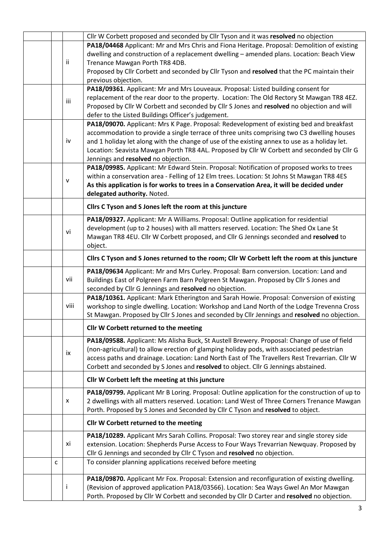|      |                                                                                            |     | Cllr W Corbett proposed and seconded by Cllr Tyson and it was resolved no objection            |  |  |  |  |
|------|--------------------------------------------------------------------------------------------|-----|------------------------------------------------------------------------------------------------|--|--|--|--|
|      |                                                                                            |     | PA18/04468 Applicant: Mr and Mrs Chris and Fiona Heritage. Proposal: Demolition of existing    |  |  |  |  |
|      |                                                                                            |     | dwelling and construction of a replacement dwelling - amended plans. Location: Beach View      |  |  |  |  |
|      |                                                                                            | ii. | Trenance Mawgan Porth TR8 4DB.                                                                 |  |  |  |  |
|      |                                                                                            |     | Proposed by Cllr Corbett and seconded by Cllr Tyson and resolved that the PC maintain their    |  |  |  |  |
|      |                                                                                            |     | previous objection.                                                                            |  |  |  |  |
|      | PA18/09361. Applicant: Mr and Mrs Louveaux. Proposal: Listed building consent for          |     |                                                                                                |  |  |  |  |
| iii  |                                                                                            |     | replacement of the rear door to the property. Location: The Old Rectory St Mawgan TR8 4EZ.     |  |  |  |  |
|      |                                                                                            |     | Proposed by Cllr W Corbett and seconded by Cllr S Jones and resolved no objection and will     |  |  |  |  |
|      | defer to the Listed Buildings Officer's judgement.                                         |     |                                                                                                |  |  |  |  |
|      |                                                                                            |     | PA18/09070. Applicant: Mrs K Page. Proposal: Redevelopment of existing bed and breakfast       |  |  |  |  |
|      |                                                                                            |     | accommodation to provide a single terrace of three units comprising two C3 dwelling houses     |  |  |  |  |
|      |                                                                                            | iv  | and 1 holiday let along with the change of use of the existing annex to use as a holiday let.  |  |  |  |  |
|      |                                                                                            |     | Location: Seavista Mawgan Porth TR8 4AL. Proposed by Cllr W Corbett and seconded by Cllr G     |  |  |  |  |
|      |                                                                                            |     |                                                                                                |  |  |  |  |
|      | Jennings and resolved no objection.                                                        |     |                                                                                                |  |  |  |  |
|      |                                                                                            |     | PA18/09985. Applicant: Mr Edward Stein. Proposal: Notification of proposed works to trees      |  |  |  |  |
|      |                                                                                            | v   | within a conservation area - Felling of 12 Elm trees. Location: St Johns St Mawgan TR8 4ES     |  |  |  |  |
|      |                                                                                            |     | As this application is for works to trees in a Conservation Area, it will be decided under     |  |  |  |  |
|      |                                                                                            |     | delegated authority. Noted.                                                                    |  |  |  |  |
|      |                                                                                            |     | Cllrs C Tyson and S Jones left the room at this juncture                                       |  |  |  |  |
|      |                                                                                            |     | PA18/09327. Applicant: Mr A Williams. Proposal: Outline application for residential            |  |  |  |  |
|      |                                                                                            | vi  | development (up to 2 houses) with all matters reserved. Location: The Shed Ox Lane St          |  |  |  |  |
|      |                                                                                            |     | Mawgan TR8 4EU. Cllr W Corbett proposed, and Cllr G Jennings seconded and resolved to          |  |  |  |  |
|      |                                                                                            |     | object.                                                                                        |  |  |  |  |
|      |                                                                                            |     | Cllrs C Tyson and S Jones returned to the room; Cllr W Corbett left the room at this juncture  |  |  |  |  |
|      |                                                                                            |     | PA18/09634 Applicant: Mr and Mrs Curley. Proposal: Barn conversion. Location: Land and         |  |  |  |  |
|      |                                                                                            | vii | Buildings East of Polgreen Farm Barn Polgreen St Mawgan. Proposed by Cllr S Jones and          |  |  |  |  |
|      |                                                                                            |     | seconded by Cllr G Jennings and resolved no objection.                                         |  |  |  |  |
|      |                                                                                            |     | PA18/10361. Applicant: Mark Etherington and Sarah Howie. Proposal: Conversion of existing      |  |  |  |  |
| viii |                                                                                            |     | workshop to single dwelling. Location: Workshop and Land North of the Lodge Trevenna Cross     |  |  |  |  |
|      |                                                                                            |     | St Mawgan. Proposed by Cllr S Jones and seconded by Cllr Jennings and resolved no objection.   |  |  |  |  |
|      |                                                                                            |     |                                                                                                |  |  |  |  |
|      |                                                                                            |     | Cllr W Corbett returned to the meeting                                                         |  |  |  |  |
|      |                                                                                            |     | PA18/09588. Applicant: Ms Alisha Buck, St Austell Brewery. Proposal: Change of use of field    |  |  |  |  |
|      |                                                                                            |     | (non-agricultural) to allow erection of glamping holiday pods, with associated pedestrian      |  |  |  |  |
|      |                                                                                            | ix  | access paths and drainage. Location: Land North East of The Travellers Rest Trevarrian. Cllr W |  |  |  |  |
|      |                                                                                            |     | Corbett and seconded by S Jones and resolved to object. Cllr G Jennings abstained.             |  |  |  |  |
|      |                                                                                            |     |                                                                                                |  |  |  |  |
|      |                                                                                            |     | Cllr W Corbett left the meeting at this juncture                                               |  |  |  |  |
|      |                                                                                            |     | PA18/09799. Applicant Mr B Loring. Proposal: Outline application for the construction of up to |  |  |  |  |
|      |                                                                                            | x   | 2 dwellings with all matters reserved. Location: Land West of Three Corners Trenance Mawgan    |  |  |  |  |
|      |                                                                                            |     | Porth. Proposed by S Jones and Seconded by Cllr C Tyson and resolved to object.                |  |  |  |  |
|      |                                                                                            |     | Cllr W Corbett returned to the meeting                                                         |  |  |  |  |
|      |                                                                                            |     | PA18/10289. Applicant Mrs Sarah Collins. Proposal: Two storey rear and single storey side      |  |  |  |  |
|      | хi                                                                                         |     | extension. Location: Shepherds Purse Access to Four Ways Trevarrian Newquay. Proposed by       |  |  |  |  |
|      |                                                                                            |     | Cllr G Jennings and seconded by Cllr C Tyson and resolved no objection.                        |  |  |  |  |
|      | C                                                                                          |     | To consider planning applications received before meeting                                      |  |  |  |  |
|      |                                                                                            |     |                                                                                                |  |  |  |  |
|      |                                                                                            |     | PA18/09870. Applicant Mr Fox. Proposal: Extension and reconfiguration of existing dwelling.    |  |  |  |  |
|      |                                                                                            |     | (Revision of approved application PA18/03566). Location: Sea Ways Gwel An Mor Mawgan           |  |  |  |  |
|      | Porth. Proposed by Cllr W Corbett and seconded by Cllr D Carter and resolved no objection. |     |                                                                                                |  |  |  |  |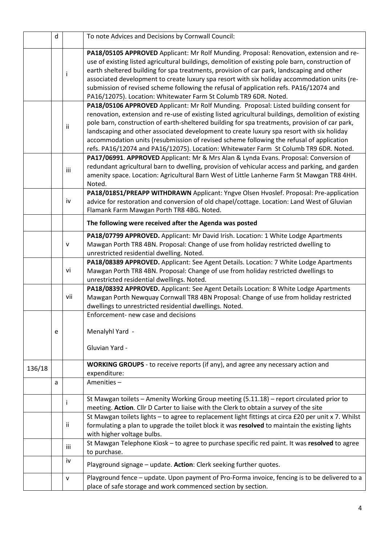|                                                                                                                                                                                                                                                                                                       | d                                                                                                                                                                                                                                                                                                                                                                                                                                                                                                                                                                                     |                | To note Advices and Decisions by Cornwall Council:                                                                                                                                                                                                                                                                                                                                                                                                                                                                                                     |  |
|-------------------------------------------------------------------------------------------------------------------------------------------------------------------------------------------------------------------------------------------------------------------------------------------------------|---------------------------------------------------------------------------------------------------------------------------------------------------------------------------------------------------------------------------------------------------------------------------------------------------------------------------------------------------------------------------------------------------------------------------------------------------------------------------------------------------------------------------------------------------------------------------------------|----------------|--------------------------------------------------------------------------------------------------------------------------------------------------------------------------------------------------------------------------------------------------------------------------------------------------------------------------------------------------------------------------------------------------------------------------------------------------------------------------------------------------------------------------------------------------------|--|
|                                                                                                                                                                                                                                                                                                       |                                                                                                                                                                                                                                                                                                                                                                                                                                                                                                                                                                                       | i              | PA18/05105 APPROVED Applicant: Mr Rolf Munding. Proposal: Renovation, extension and re-<br>use of existing listed agricultural buildings, demolition of existing pole barn, construction of<br>earth sheltered building for spa treatments, provision of car park, landscaping and other<br>associated development to create luxury spa resort with six holiday accommodation units (re-<br>submission of revised scheme following the refusal of application refs. PA16/12074 and<br>PA16/12075). Location: Whitewater Farm St Columb TR9 6DR. Noted. |  |
|                                                                                                                                                                                                                                                                                                       | PA18/05106 APPROVED Applicant: Mr Rolf Munding. Proposal: Listed building consent for<br>renovation, extension and re-use of existing listed agricultural buildings, demolition of existing<br>pole barn, construction of earth-sheltered building for spa treatments, provision of car park,<br>ii<br>landscaping and other associated development to create luxury spa resort with six holiday<br>accommodation units (resubmission of revised scheme following the refusal of application<br>refs. PA16/12074 and PA16/12075). Location: Whitewater Farm St Columb TR9 6DR. Noted. |                |                                                                                                                                                                                                                                                                                                                                                                                                                                                                                                                                                        |  |
| PA17/06991. APPROVED Applicant: Mr & Mrs Alan & Lynda Evans. Proposal: Conversion of<br>redundant agricultural barn to dwelling, provision of vehicular access and parking, and garden<br>iii<br>amenity space. Location: Agricultural Barn West of Little Lanherne Farm St Mawgan TR8 4HH.<br>Noted. |                                                                                                                                                                                                                                                                                                                                                                                                                                                                                                                                                                                       |                |                                                                                                                                                                                                                                                                                                                                                                                                                                                                                                                                                        |  |
| PA18/01851/PREAPP WITHDRAWN Applicant: Yngve Olsen Hvoslef. Proposal: Pre-application<br>iv<br>advice for restoration and conversion of old chapel/cottage. Location: Land West of Gluvian<br>Flamank Farm Mawgan Porth TR8 4BG. Noted.                                                               |                                                                                                                                                                                                                                                                                                                                                                                                                                                                                                                                                                                       |                |                                                                                                                                                                                                                                                                                                                                                                                                                                                                                                                                                        |  |
|                                                                                                                                                                                                                                                                                                       | The following were received after the Agenda was posted                                                                                                                                                                                                                                                                                                                                                                                                                                                                                                                               |                |                                                                                                                                                                                                                                                                                                                                                                                                                                                                                                                                                        |  |
|                                                                                                                                                                                                                                                                                                       | PA18/07799 APPROVED. Applicant: Mr David Irish. Location: 1 White Lodge Apartments<br>Mawgan Porth TR8 4BN. Proposal: Change of use from holiday restricted dwelling to<br>unrestricted residential dwelling. Noted.                                                                                                                                                                                                                                                                                                                                                                  |                |                                                                                                                                                                                                                                                                                                                                                                                                                                                                                                                                                        |  |
|                                                                                                                                                                                                                                                                                                       | PA18/08389 APPROVED. Applicant: See Agent Details. Location: 7 White Lodge Apartments<br>vi<br>Mawgan Porth TR8 4BN. Proposal: Change of use from holiday restricted dwellings to<br>unrestricted residential dwellings. Noted.                                                                                                                                                                                                                                                                                                                                                       |                |                                                                                                                                                                                                                                                                                                                                                                                                                                                                                                                                                        |  |
|                                                                                                                                                                                                                                                                                                       |                                                                                                                                                                                                                                                                                                                                                                                                                                                                                                                                                                                       | vii            | PA18/08392 APPROVED. Applicant: See Agent Details Location: 8 White Lodge Apartments<br>Mawgan Porth Newquay Cornwall TR8 4BN Proposal: Change of use from holiday restricted<br>dwellings to unrestricted residential dwellings. Noted.                                                                                                                                                                                                                                                                                                               |  |
| Enforcement- new case and decisions<br>Menalyhl Yard -<br>e                                                                                                                                                                                                                                           |                                                                                                                                                                                                                                                                                                                                                                                                                                                                                                                                                                                       | Gluvian Yard - |                                                                                                                                                                                                                                                                                                                                                                                                                                                                                                                                                        |  |
|                                                                                                                                                                                                                                                                                                       |                                                                                                                                                                                                                                                                                                                                                                                                                                                                                                                                                                                       |                | <b>WORKING GROUPS</b> - to receive reports (if any), and agree any necessary action and                                                                                                                                                                                                                                                                                                                                                                                                                                                                |  |
| 136/18                                                                                                                                                                                                                                                                                                |                                                                                                                                                                                                                                                                                                                                                                                                                                                                                                                                                                                       |                | expenditure:                                                                                                                                                                                                                                                                                                                                                                                                                                                                                                                                           |  |
|                                                                                                                                                                                                                                                                                                       | a                                                                                                                                                                                                                                                                                                                                                                                                                                                                                                                                                                                     |                | Amenities-                                                                                                                                                                                                                                                                                                                                                                                                                                                                                                                                             |  |
|                                                                                                                                                                                                                                                                                                       |                                                                                                                                                                                                                                                                                                                                                                                                                                                                                                                                                                                       | Ť              | St Mawgan toilets - Amenity Working Group meeting (5.11.18) - report circulated prior to<br>meeting. Action. Cllr D Carter to liaise with the Clerk to obtain a survey of the site                                                                                                                                                                                                                                                                                                                                                                     |  |
|                                                                                                                                                                                                                                                                                                       |                                                                                                                                                                                                                                                                                                                                                                                                                                                                                                                                                                                       | ii.            | St Mawgan toilets lights - to agree to replacement light fittings at circa £20 per unit x 7. Whilst<br>formulating a plan to upgrade the toilet block it was resolved to maintain the existing lights<br>with higher voltage bulbs.                                                                                                                                                                                                                                                                                                                    |  |
| iii                                                                                                                                                                                                                                                                                                   |                                                                                                                                                                                                                                                                                                                                                                                                                                                                                                                                                                                       |                | St Mawgan Telephone Kiosk - to agree to purchase specific red paint. It was resolved to agree<br>to purchase.                                                                                                                                                                                                                                                                                                                                                                                                                                          |  |
|                                                                                                                                                                                                                                                                                                       |                                                                                                                                                                                                                                                                                                                                                                                                                                                                                                                                                                                       | iv             | Playground signage - update. Action: Clerk seeking further quotes.                                                                                                                                                                                                                                                                                                                                                                                                                                                                                     |  |
|                                                                                                                                                                                                                                                                                                       |                                                                                                                                                                                                                                                                                                                                                                                                                                                                                                                                                                                       | v              | Playground fence - update. Upon payment of Pro-Forma invoice, fencing is to be delivered to a<br>place of safe storage and work commenced section by section.                                                                                                                                                                                                                                                                                                                                                                                          |  |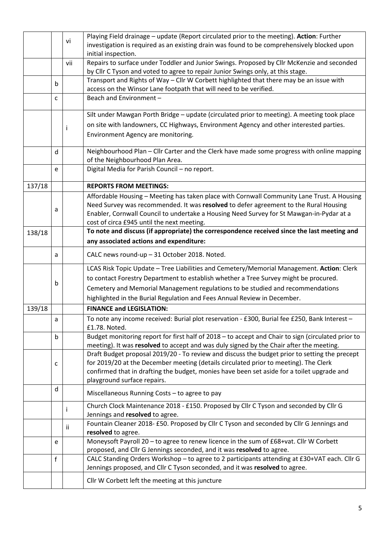|        |                                                                                         |     | Playing Field drainage - update (Report circulated prior to the meeting). Action: Further                                                                                   |  |  |  |
|--------|-----------------------------------------------------------------------------------------|-----|-----------------------------------------------------------------------------------------------------------------------------------------------------------------------------|--|--|--|
|        |                                                                                         | vi  | investigation is required as an existing drain was found to be comprehensively blocked upon                                                                                 |  |  |  |
|        |                                                                                         |     | initial inspection.<br>Repairs to surface under Toddler and Junior Swings. Proposed by Cllr McKenzie and seconded                                                           |  |  |  |
|        |                                                                                         | vii |                                                                                                                                                                             |  |  |  |
|        |                                                                                         |     | by Cllr C Tyson and voted to agree to repair Junior Swings only, at this stage.<br>Transport and Rights of Way - Cllr W Corbett highlighted that there may be an issue with |  |  |  |
|        | b                                                                                       |     | access on the Winsor Lane footpath that will need to be verified.                                                                                                           |  |  |  |
|        | C                                                                                       |     | Beach and Environment -                                                                                                                                                     |  |  |  |
|        |                                                                                         |     |                                                                                                                                                                             |  |  |  |
|        |                                                                                         |     | Silt under Mawgan Porth Bridge - update (circulated prior to meeting). A meeting took place                                                                                 |  |  |  |
|        |                                                                                         |     | on site with landowners, CC Highways, Environment Agency and other interested parties.                                                                                      |  |  |  |
|        |                                                                                         |     | Environment Agency are monitoring.                                                                                                                                          |  |  |  |
|        | d                                                                                       |     | Neighbourhood Plan - Cllr Carter and the Clerk have made some progress with online mapping                                                                                  |  |  |  |
|        |                                                                                         |     | of the Neighbourhood Plan Area.                                                                                                                                             |  |  |  |
|        | e                                                                                       |     | Digital Media for Parish Council - no report.                                                                                                                               |  |  |  |
|        |                                                                                         |     |                                                                                                                                                                             |  |  |  |
| 137/18 |                                                                                         |     | <b>REPORTS FROM MEETINGS:</b>                                                                                                                                               |  |  |  |
|        |                                                                                         |     | Affordable Housing - Meeting has taken place with Cornwall Community Lane Trust. A Housing                                                                                  |  |  |  |
|        | a                                                                                       |     | Need Survey was recommended. It was resolved to defer agreement to the Rural Housing                                                                                        |  |  |  |
|        |                                                                                         |     | Enabler, Cornwall Council to undertake a Housing Need Survey for St Mawgan-in-Pydar at a                                                                                    |  |  |  |
|        |                                                                                         |     | cost of circa £945 until the next meeting.                                                                                                                                  |  |  |  |
| 138/18 |                                                                                         |     | To note and discuss (if appropriate) the correspondence received since the last meeting and                                                                                 |  |  |  |
|        |                                                                                         |     | any associated actions and expenditure:                                                                                                                                     |  |  |  |
|        | a                                                                                       |     | CALC news round-up - 31 October 2018. Noted.                                                                                                                                |  |  |  |
|        |                                                                                         |     | LCAS Risk Topic Update - Tree Liabilities and Cemetery/Memorial Management. Action: Clerk                                                                                   |  |  |  |
|        |                                                                                         |     | to contact Forestry Department to establish whether a Tree Survey might be procured.                                                                                        |  |  |  |
|        | b                                                                                       |     | Cemetery and Memorial Management regulations to be studied and recommendations                                                                                              |  |  |  |
|        |                                                                                         |     | highlighted in the Burial Regulation and Fees Annual Review in December.                                                                                                    |  |  |  |
| 139/18 |                                                                                         |     | <b>FINANCE and LEGISLATION:</b>                                                                                                                                             |  |  |  |
|        | a                                                                                       |     | To note any income received: Burial plot reservation - £300, Burial fee £250, Bank Interest -                                                                               |  |  |  |
|        | £1.78. Noted.                                                                           |     |                                                                                                                                                                             |  |  |  |
|        | b                                                                                       |     | Budget monitoring report for first half of 2018 - to accept and Chair to sign (circulated prior to                                                                          |  |  |  |
|        | meeting). It was resolved to accept and was duly signed by the Chair after the meeting. |     |                                                                                                                                                                             |  |  |  |
|        |                                                                                         |     | Draft Budget proposal 2019/20 - To review and discuss the budget prior to setting the precept                                                                               |  |  |  |
|        | c                                                                                       |     | for 2019/20 at the December meeting (details circulated prior to meeting). The Clerk                                                                                        |  |  |  |
|        |                                                                                         |     | confirmed that in drafting the budget, monies have been set aside for a toilet upgrade and                                                                                  |  |  |  |
|        | d                                                                                       |     | playground surface repairs.                                                                                                                                                 |  |  |  |
|        |                                                                                         |     | Miscellaneous Running Costs - to agree to pay                                                                                                                               |  |  |  |
|        |                                                                                         |     | Church Clock Maintenance 2018 - £150. Proposed by Cllr C Tyson and seconded by Cllr G                                                                                       |  |  |  |
|        |                                                                                         |     | Jennings and resolved to agree.                                                                                                                                             |  |  |  |
|        |                                                                                         | ij. | Fountain Cleaner 2018- £50. Proposed by Cllr C Tyson and seconded by Cllr G Jennings and<br>resolved to agree.                                                              |  |  |  |
|        | e                                                                                       |     | Moneysoft Payroll 20 - to agree to renew licence in the sum of £68+vat. Cllr W Corbett                                                                                      |  |  |  |
|        |                                                                                         |     | proposed, and Cllr G Jennings seconded, and it was resolved to agree.                                                                                                       |  |  |  |
|        | f                                                                                       |     | CALC Standing Orders Workshop - to agree to 2 participants attending at £30+VAT each. Cllr G                                                                                |  |  |  |
|        |                                                                                         |     | Jennings proposed, and Cllr C Tyson seconded, and it was resolved to agree.                                                                                                 |  |  |  |
|        |                                                                                         |     | Cllr W Corbett left the meeting at this juncture                                                                                                                            |  |  |  |